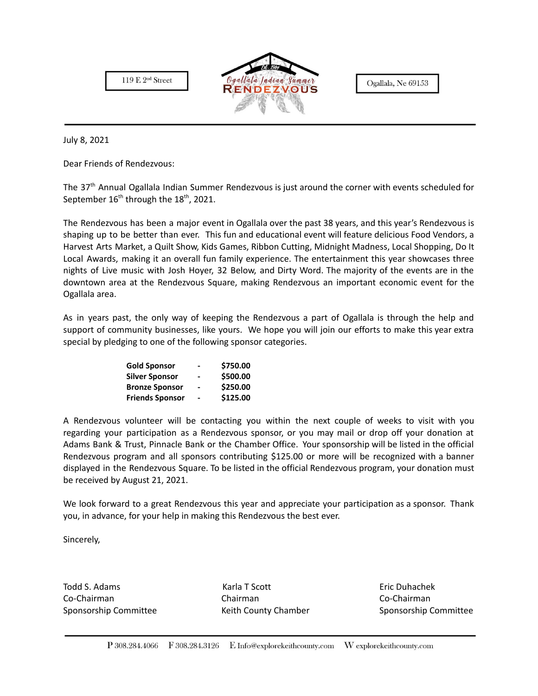



Ogallala, Ne 69153

July 8, 2021

Dear Friends of Rendezvous:

The 37<sup>th</sup> Annual Ogallala Indian Summer Rendezvous is just around the corner with events scheduled for September  $16^{\text{th}}$  through the  $18^{\text{th}}$ , 2021.

The Rendezvous has been a major event in Ogallala over the past 38 years, and this year's Rendezvous is shaping up to be better than ever. This fun and educational event will feature delicious Food Vendors, a Harvest Arts Market, a Quilt Show, Kids Games, Ribbon Cutting, Midnight Madness, Local Shopping, Do It Local Awards, making it an overall fun family experience. The entertainment this year showcases three nights of Live music with Josh Hoyer, 32 Below, and Dirty Word. The majority of the events are in the downtown area at the Rendezvous Square, making Rendezvous an important economic event for the Ogallala area.

As in years past, the only way of keeping the Rendezvous a part of Ogallala is through the help and support of community businesses, like yours. We hope you will join our efforts to make this year extra special by pledging to one of the following sponsor categories.

| <b>Gold Sponsor</b>    | -              | \$750.00 |
|------------------------|----------------|----------|
| <b>Silver Sponsor</b>  | -              | \$500.00 |
| <b>Bronze Sponsor</b>  | $\blacksquare$ | \$250.00 |
| <b>Friends Sponsor</b> | $\blacksquare$ | \$125.00 |

A Rendezvous volunteer will be contacting you within the next couple of weeks to visit with you regarding your participation as a Rendezvous sponsor, or you may mail or drop off your donation at Adams Bank & Trust, Pinnacle Bank or the Chamber Office. Your sponsorship will be listed in the official Rendezvous program and all sponsors contributing \$125.00 or more will be recognized with a banner displayed in the Rendezvous Square. To be listed in the official Rendezvous program, your donation must be received by August 21, 2021.

We look forward to a great Rendezvous this year and appreciate your participation as a sponsor. Thank you, in advance, for your help in making this Rendezvous the best ever.

Sincerely,

Todd S. Adams North Eric Duhachek Karla T Scott North Eric Duhachek Co-Chairman Chairman Co-Chairman Sponsorship Committee **Keith County Chamber** Sponsorship Committee